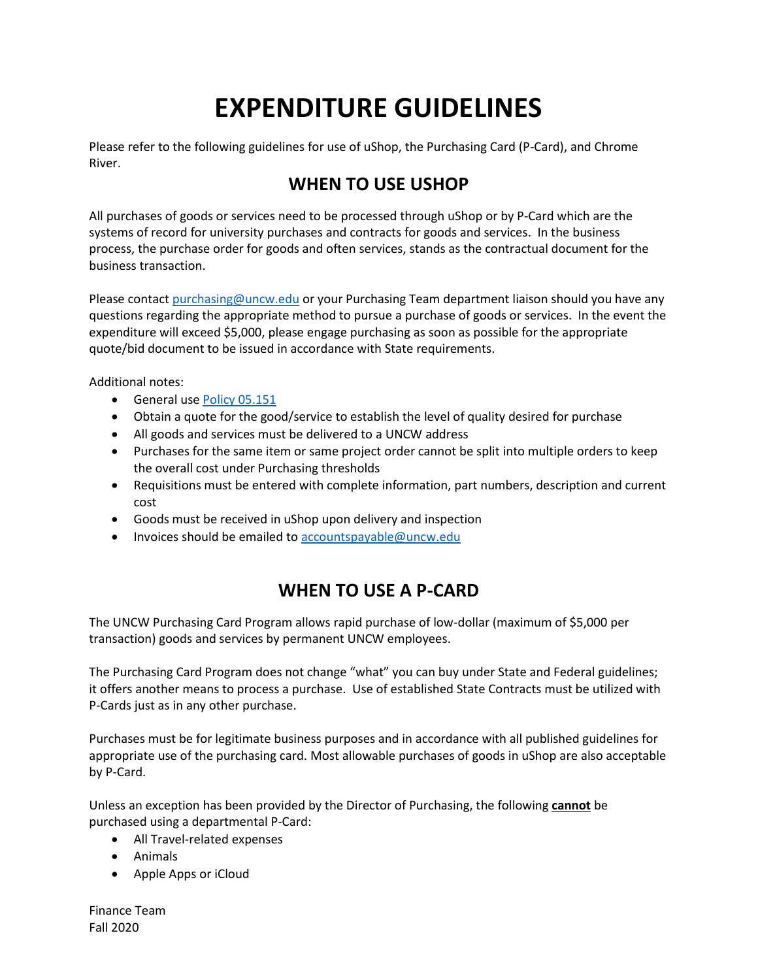# **EXPENDITURE GUIDELINES**

Please refer to the following guidelines for use of uShop, the Purchasing Card (P-Card), and Chrome River.

# **WHEN TO USE USHOP**

All purchases of goods or services need to be processed through uShop or by P-Card which are the systems of record for university purchases and contracts for goods and services. In the business process, the purchase order for goods and often services, stands as the contractual document for the business transaction.

Please contact [purchasing@uncw.edu](mailto:purchasing@uncw.edu) or your Purchasing Team department liaison should you have any questions regarding the appropriate method to pursue a purchase of goods or services. In the event the expenditure will exceed \$5,000, please engage purchasing as soon as possible for the appropriate quote/bid document to be issued in accordance with State requirements.

Additional notes:

- General use Policy [05.151](https://uncw.edu/policies/documents/05-151policyfunctionofpurchasingservices2008.pdf)
- Obtain a quote for the good/service to establish the level of quality desired for purchase
- All goods and services must be delivered to a UNCW address
- Purchases for the same item or same project order cannot be split into multiple orders to keep the overall cost under Purchasing thresholds
- Requisitions must be entered with complete information, part numbers, description and current cost
- Goods must be received in uShop upon delivery and inspection
- Invoices should be emailed to [accountspayable@uncw.edu](mailto:accountspayable@uncw.edu)

## **WHEN TO USE A P-CARD**

The UNCW Purchasing Card Program allows rapid purchase of low-dollar (maximum of \$5,000 per transaction) goods and services by permanent UNCW employees.

The Purchasing Card Program does not change "what" you can buy under State and Federal guidelines; it offers another means to process a purchase. Use of established State Contracts must be utilized with P-Cards just as in any other purchase.

Purchases must be for legitimate business purposes and in accordance with all published guidelines for appropriate use of the purchasing card. Most allowable purchases of goods in uShop are also acceptable by P-Card.

Unless an exception has been provided by the Director of Purchasing, the following **cannot** be purchased using a departmental P-Card:

- All Travel-related expenses
- Animals
- Apple Apps or iCloud

Finance Team Fall 2020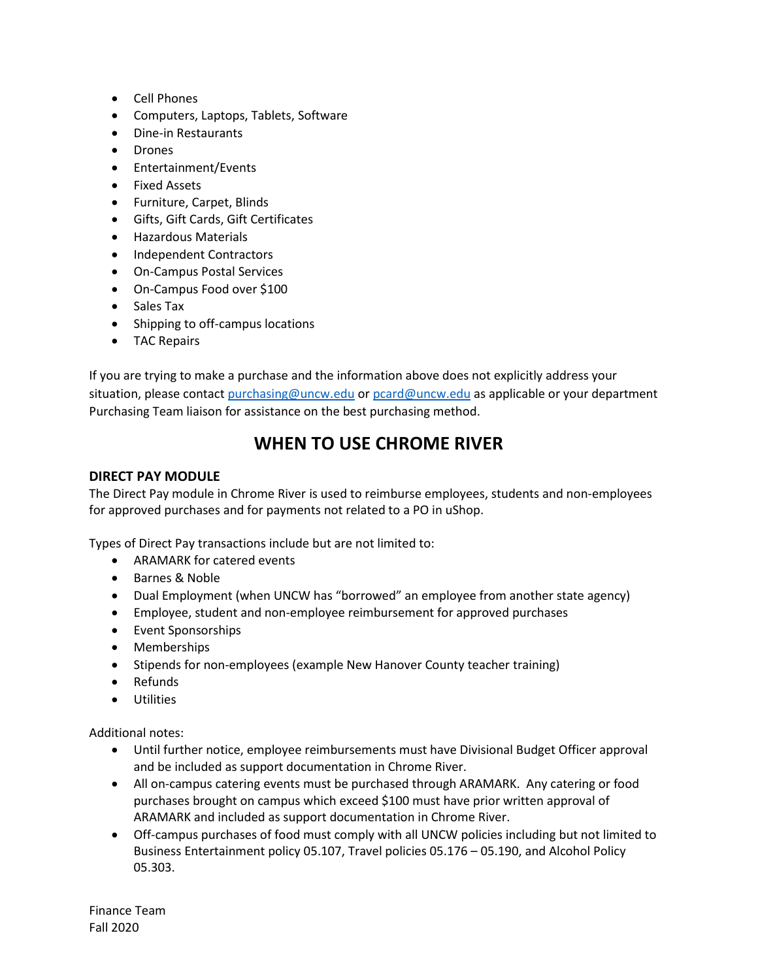- Cell Phones
- Computers, Laptops, Tablets, Software
- Dine-in Restaurants
- Drones
- Entertainment/Events
- Fixed Assets
- Furniture, Carpet, Blinds
- Gifts, Gift Cards, Gift Certificates
- Hazardous Materials
- Independent Contractors
- On-Campus Postal Services
- On-Campus Food over \$100
- Sales Tax
- Shipping to off-campus locations
- TAC Repairs

If you are trying to make a purchase and the information above does not explicitly address your situation, please contact [purchasing@uncw.edu](mailto:purchasing@uncw.edu) or [pcard@uncw.edu](mailto:pcard@uncw.edu) as applicable or your department Purchasing Team liaison for assistance on the best purchasing method.

## **WHEN TO USE CHROME RIVER**

### **DIRECT PAY MODULE**

The Direct Pay module in Chrome River is used to reimburse employees, students and non-employees for approved purchases and for payments not related to a PO in uShop.

Types of Direct Pay transactions include but are not limited to:

- ARAMARK for catered events
- Barnes & Noble
- Dual Employment (when UNCW has "borrowed" an employee from another state agency)
- Employee, student and non-employee reimbursement for approved purchases
- Event Sponsorships
- Memberships
- Stipends for non-employees (example New Hanover County teacher training)
- Refunds
- Utilities

Additional notes:

- Until further notice, employee reimbursements must have Divisional Budget Officer approval and be included as support documentation in Chrome River.
- All on-campus catering events must be purchased through ARAMARK. Any catering or food purchases brought on campus which exceed \$100 must have prior written approval of ARAMARK and included as support documentation in Chrome River.
- Off-campus purchases of food must comply with all UNCW policies including but not limited to Business Entertainment policy 05.107, Travel policies 05.176 – 05.190, and Alcohol Policy 05.303.

Finance Team Fall 2020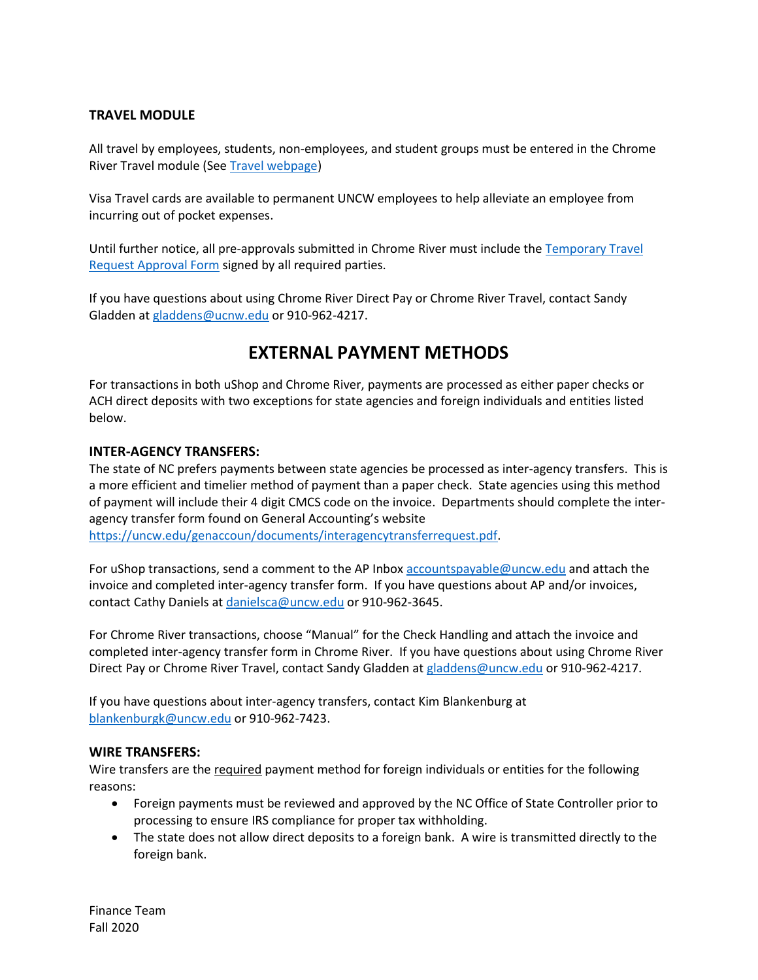## **TRAVEL MODULE**

All travel by employees, students, non-employees, and student groups must be entered in the Chrome River Travel module (Se[e Travel webpage\)](https://uncw.edu/travel/)

Visa Travel cards are available to permanent UNCW employees to help alleviate an employee from incurring out of pocket expenses.

Until further notice, all pre-approvals submitted in Chrome River must include th[e Temporary](https://uncw.edu/travel/temporary-travel-approvals-form-7.1.2020.pdf) Travel Request [Approval Form](https://uncw.edu/travel/temporary-travel-approvals-form-7.1.2020.pdf) signed by all required parties.

If you have questions about using Chrome River Direct Pay or Chrome River Travel, contact Sandy Gladden a[t gladdens@ucnw.edu](mailto:gladdens@ucnw.edu) or 910-962-4217.

## **EXTERNAL PAYMENT METHODS**

For transactions in both uShop and Chrome River, payments are processed as either paper checks or ACH direct deposits with two exceptions for state agencies and foreign individuals and entities listed below.

#### **INTER-AGENCY TRANSFERS:**

The state of NC prefers payments between state agencies be processed as inter-agency transfers. This is a more efficient and timelier method of payment than a paper check. State agencies using this method of payment will include their 4 digit CMCS code on the invoice. Departments should complete the interagency transfer form found on General Accounting's website [https://uncw.edu/genaccoun/documents/interagencytransferrequest.pdf.](https://uncw.edu/genaccoun/documents/interagencytransferrequest.pdf)

For uShop transactions, send a comment to the AP Inbox [accountspayable@uncw.edu](mailto:accountspayable@uncw.edu) and attach the invoice and completed inter-agency transfer form. If you have questions about AP and/or invoices, contact Cathy Daniels a[t danielsca@uncw.edu](mailto:danielsca@uncw.edu) or 910-962-3645.

For Chrome River transactions, choose "Manual" for the Check Handling and attach the invoice and completed inter-agency transfer form in Chrome River. If you have questions about using Chrome River Direct Pay or Chrome River Travel, contact Sandy Gladden a[t gladdens@uncw.edu](mailto:gladdens@uncw.edu) or 910-962-4217.

If you have questions about inter-agency transfers, contact Kim Blankenburg at [blankenburgk@uncw.edu](mailto:blankenburgk@uncw.edu) or 910-962-7423.

#### **WIRE TRANSFERS:**

Wire transfers are the required payment method for foreign individuals or entities for the following reasons:

- Foreign payments must be reviewed and approved by the NC Office of State Controller prior to processing to ensure IRS compliance for proper tax withholding.
- The state does not allow direct deposits to a foreign bank. A wire is transmitted directly to the foreign bank.